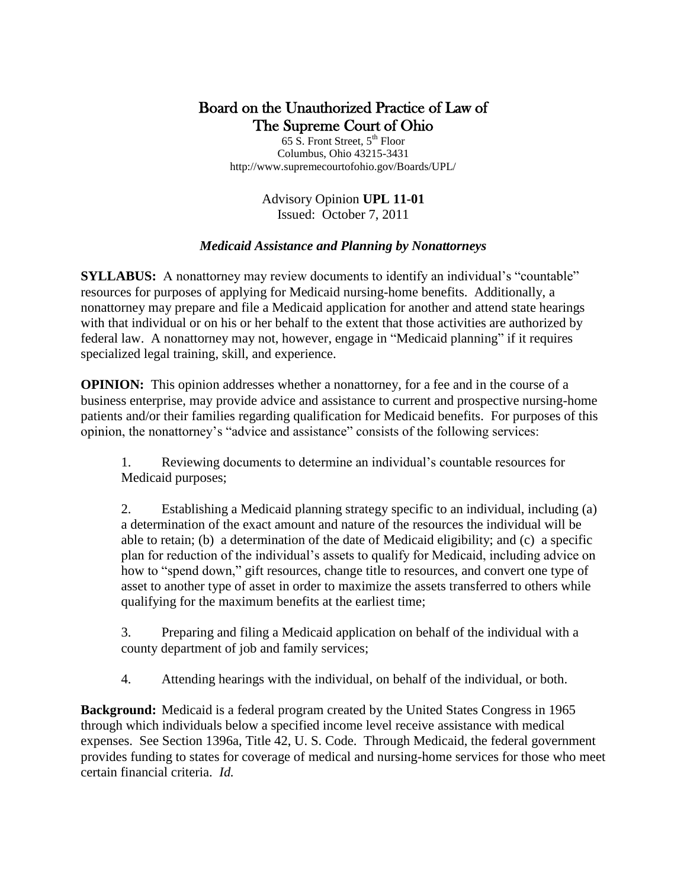# Board on the Unauthorized Practice of Law of The Supreme Court of Ohio

65 S. Front Street,  $5<sup>th</sup>$  Floor Columbus, Ohio 43215-3431 http://www.supremecourtofohio.gov/Boards/UPL/

> Advisory Opinion **UPL 11-01** Issued: October 7, 2011

# *Medicaid Assistance and Planning by Nonattorneys*

**SYLLABUS:** A nonattorney may review documents to identify an individual's "countable" resources for purposes of applying for Medicaid nursing-home benefits. Additionally, a nonattorney may prepare and file a Medicaid application for another and attend state hearings with that individual or on his or her behalf to the extent that those activities are authorized by federal law. A nonattorney may not, however, engage in "Medicaid planning" if it requires specialized legal training, skill, and experience.

**OPINION:** This opinion addresses whether a nonattorney, for a fee and in the course of a business enterprise, may provide advice and assistance to current and prospective nursing-home patients and/or their families regarding qualification for Medicaid benefits. For purposes of this opinion, the nonattorney"s "advice and assistance" consists of the following services:

1. Reviewing documents to determine an individual"s countable resources for Medicaid purposes;

2. Establishing a Medicaid planning strategy specific to an individual, including (a) a determination of the exact amount and nature of the resources the individual will be able to retain; (b) a determination of the date of Medicaid eligibility; and (c) a specific plan for reduction of the individual"s assets to qualify for Medicaid, including advice on how to "spend down," gift resources, change title to resources, and convert one type of asset to another type of asset in order to maximize the assets transferred to others while qualifying for the maximum benefits at the earliest time;

3. Preparing and filing a Medicaid application on behalf of the individual with a county department of job and family services;

4. Attending hearings with the individual, on behalf of the individual, or both.

**Background:** Medicaid is a federal program created by the United States Congress in 1965 through which individuals below a specified income level receive assistance with medical expenses. See Section 1396a, Title 42, U. S. Code. Through Medicaid, the federal government provides funding to states for coverage of medical and nursing-home services for those who meet certain financial criteria. *Id.*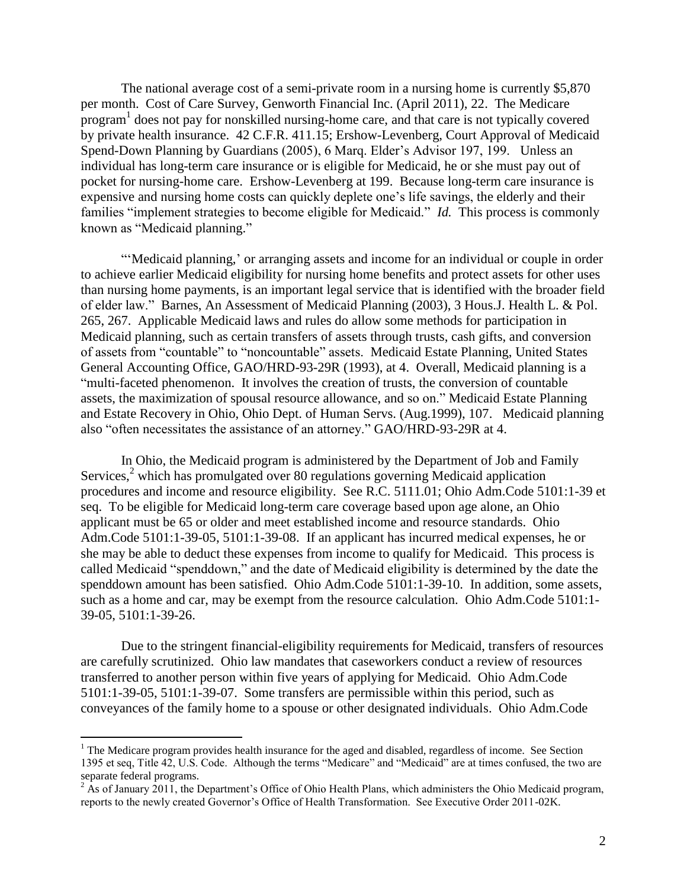The national average cost of a semi-private room in a nursing home is currently \$5,870 per month. Cost of Care Survey, Genworth Financial Inc. (April 2011), 22. The Medicare program<sup>1</sup> does not pay for nonskilled nursing-home care, and that care is not typically covered by private health insurance. 42 C.F.R. 411.15; Ershow-Levenberg, Court Approval of Medicaid Spend-Down Planning by Guardians (2005), 6 Marq. Elder"s Advisor 197, 199. Unless an individual has long-term care insurance or is eligible for Medicaid, he or she must pay out of pocket for nursing-home care. Ershow-Levenberg at 199. Because long-term care insurance is expensive and nursing home costs can quickly deplete one's life savings, the elderly and their families "implement strategies to become eligible for Medicaid." *Id.* This process is commonly known as "Medicaid planning."

""Medicaid planning," or arranging assets and income for an individual or couple in order to achieve earlier Medicaid eligibility for nursing home benefits and protect assets for other uses than nursing home payments, is an important legal service that is identified with the broader field of elder law." Barnes, An Assessment of Medicaid Planning (2003), 3 Hous.J. Health L. & Pol. 265, 267. Applicable Medicaid laws and rules do allow some methods for participation in Medicaid planning, such as certain transfers of assets through trusts, cash gifts, and conversion of assets from "countable" to "noncountable" assets. Medicaid Estate Planning, United States General Accounting Office, GAO/HRD-93-29R (1993), at 4. Overall, Medicaid planning is a "multi-faceted phenomenon. It involves the creation of trusts, the conversion of countable assets, the maximization of spousal resource allowance, and so on." Medicaid Estate Planning and Estate Recovery in Ohio, Ohio Dept. of Human Servs. (Aug.1999), 107. Medicaid planning also "often necessitates the assistance of an attorney." GAO/HRD-93-29R at 4.

In Ohio, the Medicaid program is administered by the Department of Job and Family Services, <sup>2</sup> which has promulgated over 80 regulations governing Medicaid application procedures and income and resource eligibility. See R.C. 5111.01; Ohio Adm.Code 5101:1-39 et seq. To be eligible for Medicaid long-term care coverage based upon age alone, an Ohio applicant must be 65 or older and meet established income and resource standards. Ohio Adm.Code 5101:1-39-05, 5101:1-39-08. If an applicant has incurred medical expenses, he or she may be able to deduct these expenses from income to qualify for Medicaid. This process is called Medicaid "spenddown," and the date of Medicaid eligibility is determined by the date the spenddown amount has been satisfied. Ohio Adm.Code 5101:1-39-10. In addition, some assets, such as a home and car, may be exempt from the resource calculation. Ohio Adm.Code 5101:1- 39-05, 5101:1-39-26.

Due to the stringent financial-eligibility requirements for Medicaid, transfers of resources are carefully scrutinized. Ohio law mandates that caseworkers conduct a review of resources transferred to another person within five years of applying for Medicaid. Ohio Adm.Code 5101:1-39-05, 5101:1-39-07. Some transfers are permissible within this period, such as conveyances of the family home to a spouse or other designated individuals. Ohio Adm.Code

 $\overline{a}$ 

<sup>&</sup>lt;sup>1</sup> The Medicare program provides health insurance for the aged and disabled, regardless of income. See Section 1395 et seq, Title 42, U.S. Code. Although the terms "Medicare" and "Medicaid" are at times confused, the two are separate federal programs.

 $2^{2}$  As of January 2011, the Department's Office of Ohio Health Plans, which administers the Ohio Medicaid program, reports to the newly created Governor"s Office of Health Transformation. See Executive Order 2011-02K.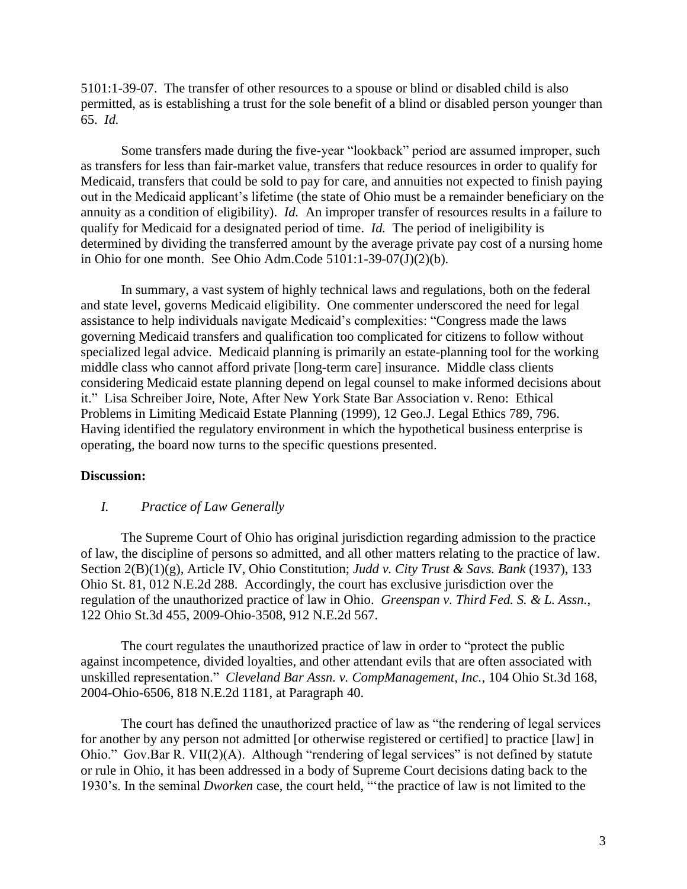5101:1-39-07. The transfer of other resources to a spouse or blind or disabled child is also permitted, as is establishing a trust for the sole benefit of a blind or disabled person younger than 65. *Id.*

Some transfers made during the five-year "lookback" period are assumed improper, such as transfers for less than fair-market value, transfers that reduce resources in order to qualify for Medicaid, transfers that could be sold to pay for care, and annuities not expected to finish paying out in the Medicaid applicant"s lifetime (the state of Ohio must be a remainder beneficiary on the annuity as a condition of eligibility). *Id.* An improper transfer of resources results in a failure to qualify for Medicaid for a designated period of time. *Id.* The period of ineligibility is determined by dividing the transferred amount by the average private pay cost of a nursing home in Ohio for one month. See Ohio Adm.Code 5101:1-39-07(J)(2)(b).

In summary, a vast system of highly technical laws and regulations, both on the federal and state level, governs Medicaid eligibility. One commenter underscored the need for legal assistance to help individuals navigate Medicaid"s complexities: "Congress made the laws governing Medicaid transfers and qualification too complicated for citizens to follow without specialized legal advice. Medicaid planning is primarily an estate-planning tool for the working middle class who cannot afford private [long-term care] insurance. Middle class clients considering Medicaid estate planning depend on legal counsel to make informed decisions about it." Lisa Schreiber Joire, Note, After New York State Bar Association v. Reno: Ethical Problems in Limiting Medicaid Estate Planning (1999), 12 Geo.J. Legal Ethics 789, 796. Having identified the regulatory environment in which the hypothetical business enterprise is operating, the board now turns to the specific questions presented.

#### **Discussion:**

#### *I. Practice of Law Generally*

The Supreme Court of Ohio has original jurisdiction regarding admission to the practice of law, the discipline of persons so admitted, and all other matters relating to the practice of law. Section 2(B)(1)(g), Article IV, Ohio Constitution; *Judd v. City Trust & Savs. Bank* (1937), 133 Ohio St. 81, 012 N.E.2d 288. Accordingly, the court has exclusive jurisdiction over the regulation of the unauthorized practice of law in Ohio. *Greenspan v. Third Fed. S. & L. Assn.*, 122 Ohio St.3d 455, 2009-Ohio-3508, 912 N.E.2d 567.

The court regulates the unauthorized practice of law in order to "protect the public against incompetence, divided loyalties, and other attendant evils that are often associated with unskilled representation." *Cleveland Bar Assn. v. CompManagement, Inc.*, 104 Ohio St.3d 168, 2004-Ohio-6506, 818 N.E.2d 1181, at Paragraph 40.

The court has defined the unauthorized practice of law as "the rendering of legal services for another by any person not admitted [or otherwise registered or certified] to practice [law] in Ohio." Gov.Bar R. VII(2)(A). Although "rendering of legal services" is not defined by statute or rule in Ohio, it has been addressed in a body of Supreme Court decisions dating back to the 1930"s. In the seminal *Dworken* case, the court held, ""the practice of law is not limited to the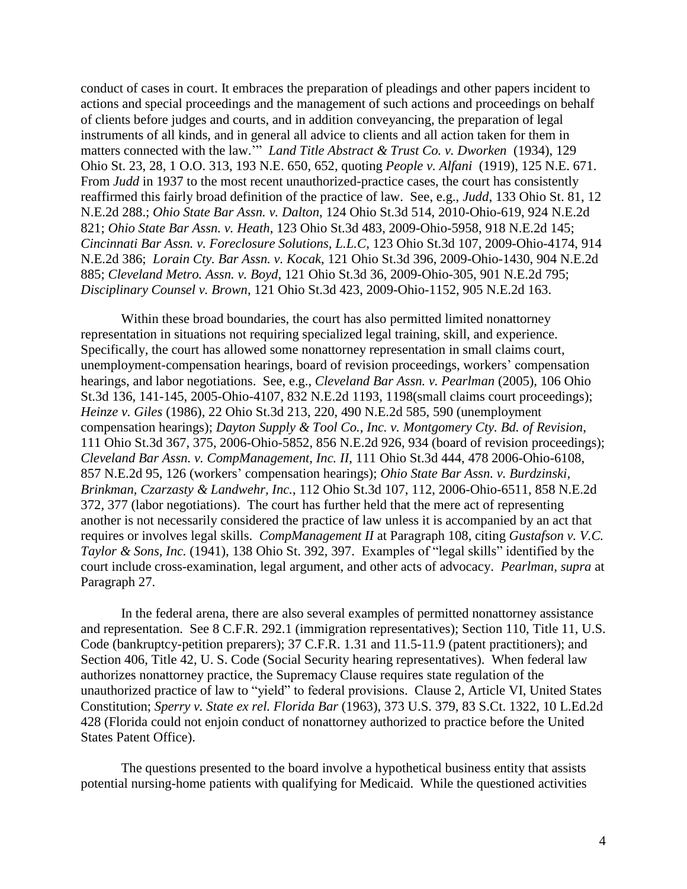conduct of cases in court. It embraces the preparation of pleadings and other papers incident to actions and special proceedings and the management of such actions and proceedings on behalf of clients before judges and courts, and in addition conveyancing, the preparation of legal instruments of all kinds, and in general all advice to clients and all action taken for them in matters connected with the law."" *Land Title Abstract & Trust Co. v. Dworken* (1934), 129 Ohio St. 23, 28, 1 O.O. 313, 193 N.E. 650, 652, quoting *People v. Alfani* (1919), 125 N.E. 671. From *Judd* in 1937 to the most recent unauthorized-practice cases, the court has consistently reaffirmed this fairly broad definition of the practice of law. See, e.g., *Judd*, 133 Ohio St. 81, 12 N.E.2d 288.; *Ohio State Bar Assn. v. Dalton*, 124 Ohio St.3d 514, 2010-Ohio-619, 924 N.E.2d 821; *Ohio State Bar Assn. v. Heath*, 123 Ohio St.3d 483, 2009-Ohio-5958, 918 N.E.2d 145; *Cincinnati Bar Assn. v. Foreclosure Solutions, L.L.C,* 123 Ohio St.3d 107, 2009-Ohio-4174, 914 N.E.2d 386; *Lorain Cty. Bar Assn. v. Kocak*, 121 Ohio St.3d 396, 2009-Ohio-1430, 904 N.E.2d 885; *Cleveland Metro. Assn. v. Boyd*, 121 Ohio St.3d 36, 2009-Ohio-305, 901 N.E.2d 795; *Disciplinary Counsel v. Brown*, 121 Ohio St.3d 423, 2009-Ohio-1152, 905 N.E.2d 163.

Within these broad boundaries, the court has also permitted limited nonattorney representation in situations not requiring specialized legal training, skill, and experience. Specifically, the court has allowed some nonattorney representation in small claims court, unemployment-compensation hearings, board of revision proceedings, workers" compensation hearings, and labor negotiations. See, e.g., *Cleveland Bar Assn. v. Pearlman* (2005), 106 Ohio St.3d 136, 141-145, 2005-Ohio-4107, 832 N.E.2d 1193, 1198(small claims court proceedings); *Heinze v. Giles* (1986), 22 Ohio St.3d 213, 220, 490 N.E.2d 585, 590 (unemployment compensation hearings); *Dayton Supply & Tool Co., Inc. v. Montgomery Cty. Bd. of Revision*, 111 Ohio St.3d 367, 375, 2006-Ohio-5852, 856 N.E.2d 926, 934 (board of revision proceedings); *Cleveland Bar Assn. v. CompManagement, Inc. II*, 111 Ohio St.3d 444, 478 2006-Ohio-6108, 857 N.E.2d 95, 126 (workers" compensation hearings); *Ohio State Bar Assn. v. Burdzinski, Brinkman, Czarzasty & Landwehr, Inc.*, 112 Ohio St.3d 107, 112, 2006-Ohio-6511, 858 N.E.2d 372, 377 (labor negotiations). The court has further held that the mere act of representing another is not necessarily considered the practice of law unless it is accompanied by an act that requires or involves legal skills. *CompManagement II* at Paragraph 108, citing *Gustafson v. V.C. Taylor & Sons, Inc.* (1941), 138 Ohio St. 392, 397. Examples of "legal skills" identified by the court include cross-examination, legal argument, and other acts of advocacy. *Pearlman, supra* at Paragraph 27.

In the federal arena, there are also several examples of permitted nonattorney assistance and representation. See 8 C.F.R. 292.1 (immigration representatives); Section 110, Title 11, U.S. Code (bankruptcy-petition preparers); 37 C.F.R. 1.31 and 11.5-11.9 (patent practitioners); and Section 406, Title 42, U. S. Code (Social Security hearing representatives). When federal law authorizes nonattorney practice, the Supremacy Clause requires state regulation of the unauthorized practice of law to "yield" to federal provisions. Clause 2, Article VI, United States Constitution; *Sperry v. State ex rel. Florida Bar* (1963), 373 U.S. 379, 83 S.Ct. 1322, 10 L.Ed.2d 428 (Florida could not enjoin conduct of nonattorney authorized to practice before the United States Patent Office).

The questions presented to the board involve a hypothetical business entity that assists potential nursing-home patients with qualifying for Medicaid. While the questioned activities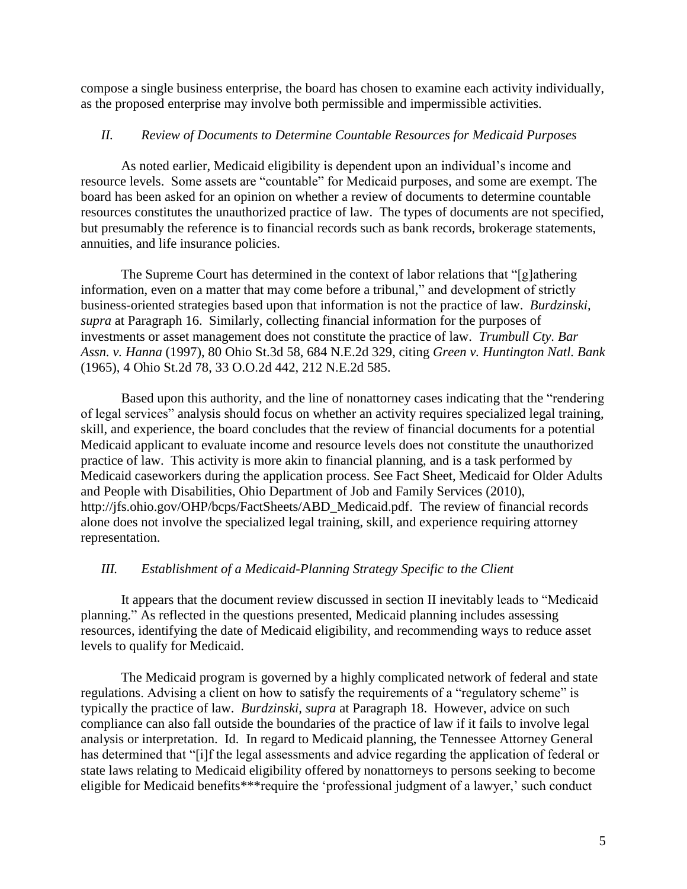compose a single business enterprise, the board has chosen to examine each activity individually, as the proposed enterprise may involve both permissible and impermissible activities.

## *II. Review of Documents to Determine Countable Resources for Medicaid Purposes*

As noted earlier, Medicaid eligibility is dependent upon an individual's income and resource levels. Some assets are "countable" for Medicaid purposes, and some are exempt. The board has been asked for an opinion on whether a review of documents to determine countable resources constitutes the unauthorized practice of law. The types of documents are not specified, but presumably the reference is to financial records such as bank records, brokerage statements, annuities, and life insurance policies.

The Supreme Court has determined in the context of labor relations that "[g]athering information, even on a matter that may come before a tribunal," and development of strictly business-oriented strategies based upon that information is not the practice of law. *Burdzinski, supra* at Paragraph 16. Similarly, collecting financial information for the purposes of investments or asset management does not constitute the practice of law. *Trumbull Cty. Bar Assn. v. Hanna* (1997), 80 Ohio St.3d 58, 684 N.E.2d 329, citing *Green v. Huntington Natl. Bank* (1965), 4 Ohio St.2d 78, 33 O.O.2d 442, 212 N.E.2d 585.

Based upon this authority, and the line of nonattorney cases indicating that the "rendering of legal services" analysis should focus on whether an activity requires specialized legal training, skill, and experience, the board concludes that the review of financial documents for a potential Medicaid applicant to evaluate income and resource levels does not constitute the unauthorized practice of law. This activity is more akin to financial planning, and is a task performed by Medicaid caseworkers during the application process. See Fact Sheet, Medicaid for Older Adults and People with Disabilities, Ohio Department of Job and Family Services (2010), http://jfs.ohio.gov/OHP/bcps/FactSheets/ABD\_Medicaid.pdf. The review of financial records alone does not involve the specialized legal training, skill, and experience requiring attorney representation.

# *III. Establishment of a Medicaid-Planning Strategy Specific to the Client*

It appears that the document review discussed in section II inevitably leads to "Medicaid planning." As reflected in the questions presented, Medicaid planning includes assessing resources, identifying the date of Medicaid eligibility, and recommending ways to reduce asset levels to qualify for Medicaid.

The Medicaid program is governed by a highly complicated network of federal and state regulations. Advising a client on how to satisfy the requirements of a "regulatory scheme" is typically the practice of law. *Burdzinski, supra* at Paragraph 18. However, advice on such compliance can also fall outside the boundaries of the practice of law if it fails to involve legal analysis or interpretation. Id. In regard to Medicaid planning, the Tennessee Attorney General has determined that "[i]f the legal assessments and advice regarding the application of federal or state laws relating to Medicaid eligibility offered by nonattorneys to persons seeking to become eligible for Medicaid benefits\*\*\*require the 'professional judgment of a lawyer,' such conduct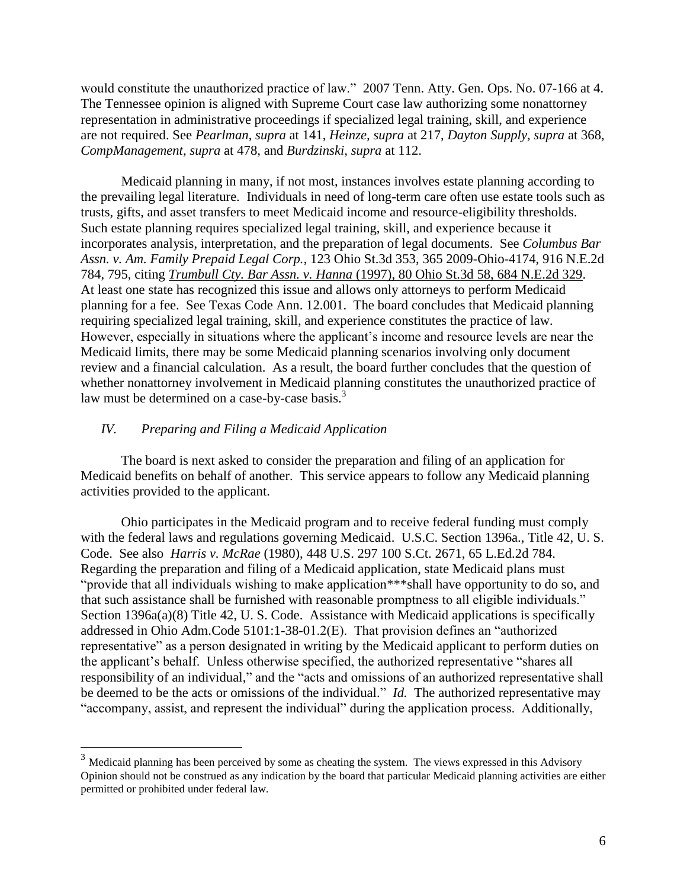would constitute the unauthorized practice of law." 2007 Tenn. Atty. Gen. Ops. No. 07-166 at 4. The Tennessee opinion is aligned with Supreme Court case law authorizing some nonattorney representation in administrative proceedings if specialized legal training, skill, and experience are not required. See *Pearlman, supra* at 141, *Heinze, supra* at 217, *Dayton Supply, supra* at 368, *CompManagement, supra* at 478, and *Burdzinski, supra* at 112.

Medicaid planning in many, if not most, instances involves estate planning according to the prevailing legal literature. Individuals in need of long-term care often use estate tools such as trusts, gifts, and asset transfers to meet Medicaid income and resource-eligibility thresholds. Such estate planning requires specialized legal training, skill, and experience because it incorporates analysis, interpretation, and the preparation of legal documents. See *Columbus Bar Assn. v. Am. Family Prepaid Legal Corp.*, 123 Ohio St.3d 353, 365 2009-Ohio-4174, 916 N.E.2d 784, 795, citing *Trumbull Cty. Bar Assn. v. Hanna* [\(1997\), 80 Ohio St.3d 58, 684 N.E.2d 329.](http://web2.westlaw.com/find/default.wl?serialnum=1997188376&tc=-1&rp=%2ffind%2fdefault.wl&sv=Split&rs=WLW11.07&db=578&tf=-1&findtype=Y&fn=_top&mt=75&vr=2.0&pbc=E3207CBA&ordoc=2020121480) At least one state has recognized this issue and allows only attorneys to perform Medicaid planning for a fee. See Texas Code Ann. 12.001. The board concludes that Medicaid planning requiring specialized legal training, skill, and experience constitutes the practice of law. However, especially in situations where the applicant"s income and resource levels are near the Medicaid limits, there may be some Medicaid planning scenarios involving only document review and a financial calculation. As a result, the board further concludes that the question of whether nonattorney involvement in Medicaid planning constitutes the unauthorized practice of law must be determined on a case-by-case basis.<sup>3</sup>

#### *IV. Preparing and Filing a Medicaid Application*

 $\overline{a}$ 

The board is next asked to consider the preparation and filing of an application for Medicaid benefits on behalf of another. This service appears to follow any Medicaid planning activities provided to the applicant.

Ohio participates in the Medicaid program and to receive federal funding must comply with the federal laws and regulations governing Medicaid. U.S.C. Section 1396a., Title 42, U. S. Code. See also *Harris v. McRae* (1980), 448 U.S. 297 100 S.Ct. 2671, 65 L.Ed.2d 784. Regarding the preparation and filing of a Medicaid application, state Medicaid plans must "provide that all individuals wishing to make application\*\*\*shall have opportunity to do so, and that such assistance shall be furnished with reasonable promptness to all eligible individuals." Section 1396a(a)(8) Title 42, U. S. Code. Assistance with Medicaid applications is specifically addressed in Ohio Adm.Code 5101:1-38-01.2(E). That provision defines an "authorized representative" as a person designated in writing by the Medicaid applicant to perform duties on the applicant"s behalf. Unless otherwise specified, the authorized representative "shares all responsibility of an individual," and the "acts and omissions of an authorized representative shall be deemed to be the acts or omissions of the individual." *Id.* The authorized representative may "accompany, assist, and represent the individual" during the application process. Additionally,

 $3$  Medicaid planning has been perceived by some as cheating the system. The views expressed in this Advisory Opinion should not be construed as any indication by the board that particular Medicaid planning activities are either permitted or prohibited under federal law.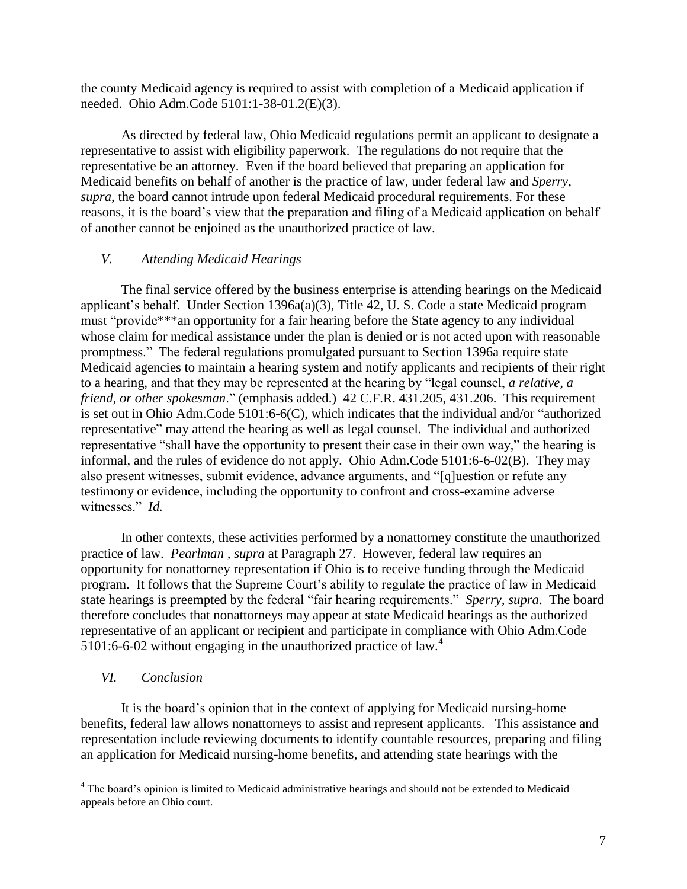the county Medicaid agency is required to assist with completion of a Medicaid application if needed. Ohio Adm.Code 5101:1-38-01.2(E)(3).

As directed by federal law, Ohio Medicaid regulations permit an applicant to designate a representative to assist with eligibility paperwork. The regulations do not require that the representative be an attorney. Even if the board believed that preparing an application for Medicaid benefits on behalf of another is the practice of law, under federal law and *Sperry, supra*, the board cannot intrude upon federal Medicaid procedural requirements. For these reasons, it is the board"s view that the preparation and filing of a Medicaid application on behalf of another cannot be enjoined as the unauthorized practice of law.

### *V. Attending Medicaid Hearings*

The final service offered by the business enterprise is attending hearings on the Medicaid applicant"s behalf. Under Section 1396a(a)(3), Title 42, U. S. Code a state Medicaid program must "provide\*\*\*an opportunity for a fair hearing before the State agency to any individual whose claim for medical assistance under the plan is denied or is not acted upon with reasonable promptness." The federal regulations promulgated pursuant to Section 1396a require state Medicaid agencies to maintain a hearing system and notify applicants and recipients of their right to a hearing, and that they may be represented at the hearing by "legal counsel, *a relative, a friend, or other spokesman*." (emphasis added.) 42 C.F.R. 431.205, 431.206. This requirement is set out in Ohio Adm.Code 5101:6-6(C), which indicates that the individual and/or "authorized representative" may attend the hearing as well as legal counsel. The individual and authorized representative "shall have the opportunity to present their case in their own way," the hearing is informal, and the rules of evidence do not apply. Ohio Adm.Code 5101:6-6-02(B). They may also present witnesses, submit evidence, advance arguments, and "[q]uestion or refute any testimony or evidence, including the opportunity to confront and cross-examine adverse witnesses." *Id.*

In other contexts, these activities performed by a nonattorney constitute the unauthorized practice of law. *Pearlman , supra* at Paragraph 27. However, federal law requires an opportunity for nonattorney representation if Ohio is to receive funding through the Medicaid program. It follows that the Supreme Court's ability to regulate the practice of law in Medicaid state hearings is preempted by the federal "fair hearing requirements." *Sperry, supra*. The board therefore concludes that nonattorneys may appear at state Medicaid hearings as the authorized representative of an applicant or recipient and participate in compliance with Ohio Adm.Code 5101:6-6-02 without engaging in the unauthorized practice of law.<sup>4</sup>

#### *VI. Conclusion*

 $\overline{a}$ 

It is the board"s opinion that in the context of applying for Medicaid nursing-home benefits, federal law allows nonattorneys to assist and represent applicants. This assistance and representation include reviewing documents to identify countable resources, preparing and filing an application for Medicaid nursing-home benefits, and attending state hearings with the

<sup>&</sup>lt;sup>4</sup> The board's opinion is limited to Medicaid administrative hearings and should not be extended to Medicaid appeals before an Ohio court.